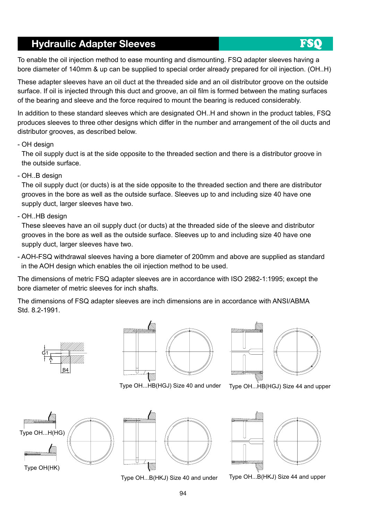#### Hydraulic Adapter Sleeves

To enable the oil injection method to ease mounting and dismounting. FSQ adapter sleeves having a bore diameter of 140mm & up can be supplied to special order already prepared for oil injection. (OH..H)

These adapter sleeves have an oil duct at the threaded side and an oil distributor groove on the outside surface. If oil is injected through this duct and groove, an oil film is formed between the mating surfaces of the bearing and sleeve and the force required to mount the bearing is reduced considerably.

In addition to these standard sleeves which are designated OH..H and shown in the product tables, FSQ produces sleeves to three other designs which differ in the number and arrangement of the oil ducts and distributor grooves, as described below.

- OH design

The oil supply duct is at the side opposite to the threaded section and there is a distributor groove in the outside surface.

- OH..B design

The oil supply duct (or ducts) is at the side opposite to the threaded section and there are distributor grooves in the bore as well as the outside surface. Sleeves up to and including size 40 have one supply duct, larger sleeves have two.

- OH..HB design

These sleeves have an oil supply duct (or ducts) at the threaded side of the sleeve and distributor grooves in the bore as well as the outside surface. Sleeves up to and including size 40 have one supply duct, larger sleeves have two.

- AOH-FSQ withdrawal sleeves having a bore diameter of 200mm and above are supplied as standard in the AOH design which enables the oil injection method to be used.

The dimensions of metric FSQ adapter sleeves are in accordance with ISO 2982-1:1995; except the bore diameter of metric sleeves for inch shafts.

The dimensions of FSQ adapter sleeves are inch dimensions are in accordance with ANSI/ABMA Std. 8.2-1991.







Type OH...HB(HGJ) Size 40 and under

Type OH...HB(HGJ) Size 44 and upper





Type OH...B(HKJ) Size 40 and under



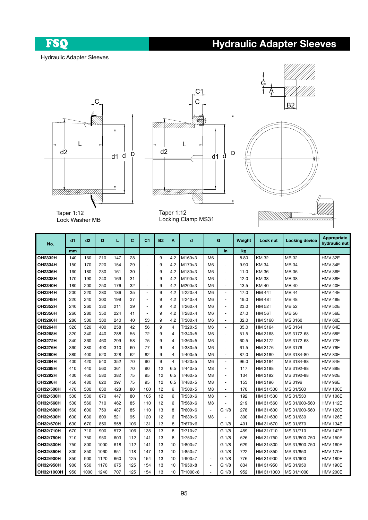FSQ

# Hydraulic Adapter Sleeves

Hydraulic Adapter Sleeves







Taper 1:12 Lock Washer MB

Taper 1:12 Locking Clamp MS31

| No.              | d1  | d2   | D    | L   | C   | C <sub>1</sub> | <b>B2</b> | A              | d               | G                        |                          | Weight | Lock nut      | <b>Locking device</b> | Appropriate<br>hydraulic nut |
|------------------|-----|------|------|-----|-----|----------------|-----------|----------------|-----------------|--------------------------|--------------------------|--------|---------------|-----------------------|------------------------------|
|                  | mm  |      |      |     |     |                |           |                |                 |                          | in                       | kg     |               |                       |                              |
| OH2332H          | 140 | 160  | 210  | 147 | 28  | ä,             | 9         | 4.2            | $M160\times3$   | M <sub>6</sub>           | $\overline{\phantom{a}}$ | 8.80   | <b>KM32</b>   | MB 32                 | <b>HMV 32E</b>               |
| <b>OH2334H</b>   | 150 | 170  | 220  | 154 | 29  | ä,             | 9         | 4.2            | $M170\times3$   | M <sub>6</sub>           | $\blacksquare$           | 9.90   | <b>KM34</b>   | MB 34                 | HMV 34E                      |
| <b>OH2336H</b>   | 160 | 180  | 230  | 161 | 30  | L,             | 9         | 4.2            | $M180\times3$   | M <sub>6</sub>           | $\overline{\phantom{a}}$ | 11.0   | KM 36         | MB 36                 | HMV 36E                      |
| <b>OH2338H</b>   | 170 | 190  | 240  | 169 | 31  | ä,             | 9         | 4.2            | $M190\times3$   | M <sub>6</sub>           | $\overline{\phantom{a}}$ | 12.0   | <b>KM38</b>   | MB 38                 | HMV 38E                      |
| <b>OH2340H</b>   | 180 | 200  | 250  | 176 | 32  | ä,             | 9         | 4.2            | M200×3          | M6                       | ÷.                       | 13.5   | KM 40         | MB 40                 | HMV 40E                      |
| <b>OH2344H</b>   | 200 | 220  | 280  | 186 | 35  | ä,             | 9         | 4.2            | Tr220×4         | M <sub>6</sub>           | $\overline{\phantom{a}}$ | 17.0   | <b>HM 44T</b> | MB 44                 | HMV 44E                      |
| <b>OH2348H</b>   | 220 | 240  | 300  | 199 | 37  | ٠              | 9         | 4.2            | $Tr240\times4$  | M <sub>6</sub>           | $\overline{\phantom{a}}$ | 19.0   | <b>HM 48T</b> | <b>MB48</b>           | HMV 48E                      |
| OH2352H          | 240 | 260  | 330  | 211 | 39  | $\blacksquare$ | 9         | 4.2            | $Tr260\times4$  | M <sub>6</sub>           | $\overline{\phantom{a}}$ | 23.0   | <b>HM 52T</b> | MB 52                 | HMV 52E                      |
| <b>OH2356H</b>   | 260 | 280  | 350  | 224 | 41  | ÷,             | 9         | 4.2            | $Tr280\times4$  | M <sub>6</sub>           | $\sim$                   | 27.0   | <b>HM 56T</b> | MB 56                 | <b>HMV 56E</b>               |
| <b>OH3260H</b>   | 280 | 300  | 380  | 240 | 40  | 53             | 9         | 4.2            | Tr300×4         | M <sub>6</sub>           | ÷.                       | 32.0   | HM 3160       | MS 3160               | HMV 60E                      |
| OH3264H          | 320 | 320  | 400  | 258 | 42  | 56             | 9         | $\overline{4}$ | Tr320×5         | M <sub>6</sub>           | $\bar{\phantom{a}}$      | 35.0   | HM 3164       | MS 3164               | HMV 64E                      |
| OH3268H          | 320 | 340  | 440  | 288 | 55  | 72             | 9         | $\overline{4}$ | Tr340×5         | M <sub>6</sub>           | $\overline{\phantom{a}}$ | 51.5   | HM 3168       | MS 3172-68            | HMV 68E                      |
| <b>OH3272H</b>   | 340 | 360  | 460  | 299 | 58  | 75             | 9         | $\overline{4}$ | Tr360×5         | M <sub>6</sub>           | $\overline{\phantom{a}}$ | 60.5   | HM 3172       | MS 3172-68            | HMV 72E                      |
| <b>OH3276H</b>   | 360 | 380  | 490  | 310 | 60  | 77             | 9         | $\overline{4}$ | Tr380×5         | M <sub>6</sub>           | $\overline{\phantom{a}}$ | 61.5   | HM 3176       | MS 3176               | HMV 76E                      |
| <b>OH3280H</b>   | 380 | 400  | 520  | 328 | 62  | 82             | 9         | 4              | Tr400×5         | M <sub>6</sub>           | $\overline{\phantom{a}}$ | 87.0   | HM 3180       | MS 3184-80            | HMV 80E                      |
| OH3284H          | 400 | 420  | 540  | 352 | 70  | 90             | 9         | $\overline{4}$ | Tr420×5         | M <sub>6</sub>           | $\overline{\phantom{a}}$ | 96.0   | HM 3184       | MS 3184-88            | HMV 84E                      |
| <b>OH3288H</b>   | 410 | 440  | 560  | 361 | 70  | 90             | 12        | 6.5            | Tr440×5         | M <sub>8</sub>           | $\overline{\phantom{a}}$ | 117    | HM 3188       | MS 3192-88            | HMV 88E                      |
| <b>OH3292H</b>   | 430 | 460  | 580  | 382 | 75  | 95             | 12        | 6.5            | Tr460×5         | M <sub>8</sub>           | $\sim$                   | 134    | HM 3192       | MS 3192-88            | <b>HMV 92E</b>               |
| OH3296H          | 450 | 480  | 620  | 397 | 75  | 95             | 12        | 6.5            | Tr480×5         | M <sub>8</sub>           | $\overline{\phantom{a}}$ | 153    | HM 3196       | MS 3196               | HMV 96E                      |
| OH32/500H        | 470 | 500  | 630  | 428 | 80  | 100            | 12        | 6              | Tr500×5         | M <sub>8</sub>           | $\sim$                   | 170    | HM 31/500     | MS 31/500             | <b>HMV 100E</b>              |
| OH32/530H        | 500 | 530  | 670  | 447 | 80  | 105            | 12        | 6              | Tr530×6         | M <sub>8</sub>           | ÷.                       | 192    | HM 31/530     | MS 31/530             | <b>HMV 106E</b>              |
| <b>OH32/560H</b> | 530 | 560  | 710  | 462 | 85  | 110            | 12        | 6              | Tr560×6         | M <sub>8</sub>           | $\sim$                   | 219    | HM 31/560     | MS 31/600-560         | <b>HMV 112E</b>              |
| <b>OH32/600H</b> | 560 | 600  | 750  | 487 | 85  | 110            | 13        | 8              | $Tr600\times 6$ | $\rightarrow$            | G 1/8                    | 278    | HM 31/600     | MS 31/600-560         | <b>HMV 120E</b>              |
| <b>OH32/630H</b> | 600 | 630  | 800  | 521 | 95  | 120            | 12        | 6              | $Tr630\times 6$ | M8                       |                          | 300    | HM 31/630     | MS 31/630             | <b>HMV 126E</b>              |
| <b>OH32/670H</b> | 630 | 670  | 850  | 558 | 106 | 131            | 13        | 8              | Tr670×6         | $\overline{\phantom{a}}$ | G <sub>1/8</sub>         | 401    | HM 31/670     | MS 31/670             | <b>HMV 134E</b>              |
| OH32/710H        | 670 | 710  | 900  | 572 | 106 | 135            | 13        | 8              | Tr710×7         | ä,                       | G 1/8                    | 459    | HM 31/710     | MS 31/710             | <b>HMV 142E</b>              |
| OH32/750H        | 710 | 750  | 950  | 603 | 112 | 141            | 13        | 8              | Tr750×7         | ä,                       | G 1/8                    | 526    | HM 31/750     | MS 31/800-750         | <b>HMV 150E</b>              |
| <b>OH32/800H</b> | 750 | 800  | 1000 | 618 | 112 | 141            | 13        | 10             | Tr800×7         | ä,                       | G 1/8                    | 629    | HM 31/800     | MS 31/800-750         | <b>HMV 160E</b>              |
| <b>OH32/850H</b> | 800 | 850  | 1060 | 651 | 118 | 147            | 13        | 10             | $Tr850\times7$  | ä,                       | G 1/8                    | 722    | HM 31/850     | MS 31/850             | <b>HMV 170E</b>              |
| <b>OH32/900H</b> | 850 | 900  | 1120 | 660 | 125 | 154            | 13        | 10             | Tr900×7         | $\rightarrow$            | G 1/8                    | 776    | HM 31/900     | MS 31/900             | <b>HMV 180E</b>              |
| <b>OH32/950H</b> | 900 | 950  | 1170 | 675 | 125 | 154            | 13        | 10             | $Tr950\times8$  |                          | G 1/8                    | 834    | HM 31/950     | MS 31/950             | <b>HMV 190E</b>              |
| OH32/1000H       | 950 | 1000 | 1240 | 707 | 125 | 154            | 13        | 10             | Tr1000×8        |                          | G 1/8                    | 952    | HM 31/1000    | MS 31/1000            | <b>HMV 200E</b>              |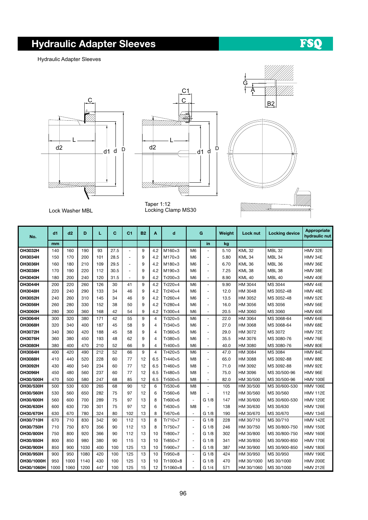#### Hydraulic Adapter Sleeves

FSQ

Hydraulic Adapter Sleeves





Taper 1:12 Locking Clamp MS30

Lock Washer MBL

| No.            | d1   | d2   | D    | L   | C    | C <sub>1</sub>           | <b>B2</b> | A   | d               | G              |                          | Weight | Lock nut      | <b>Locking device</b> | Appropriate<br>hydraulic nut |
|----------------|------|------|------|-----|------|--------------------------|-----------|-----|-----------------|----------------|--------------------------|--------|---------------|-----------------------|------------------------------|
|                | mm   |      |      |     |      |                          |           |     |                 |                | in                       | kg     |               |                       |                              |
| OH3032H        | 140  | 160  | 190  | 93  | 27.5 | ÷,                       | 9         | 4.2 | $M160\times3$   | M <sub>6</sub> |                          | 5.10   | <b>KML32</b>  | <b>MBL 32</b>         | HMV 32E                      |
| <b>OH3034H</b> | 150  | 170  | 200  | 101 | 28.5 | ÷,                       | 9         | 4.2 | M170×3          | M <sub>6</sub> | $\blacksquare$           | 5.80   | <b>KML34</b>  | MBL <sub>34</sub>     | HMV 34E                      |
| <b>OH3036H</b> | 160  | 180  | 210  | 109 | 29.5 | ÷                        | 9         | 4.2 | M180×3          | M <sub>6</sub> | $\sim$                   | 6.70   | <b>KML36</b>  | <b>MBL 36</b>         | HMV 36E                      |
| <b>OH3038H</b> | 170  | 190  | 220  | 112 | 30.5 | $\blacksquare$           | 9         | 4.2 | M190×3          | M <sub>6</sub> | $\sim$                   | 7.25   | <b>KML38</b>  | <b>MBL 38</b>         | HMV 38E                      |
| <b>OH3040H</b> | 180  | 200  | 240  | 120 | 31.5 | $\overline{\phantom{a}}$ | 9         | 4.2 | Tr200×3         | M <sub>6</sub> | $\blacksquare$           | 8.90   | <b>KML 40</b> | <b>MBL 40</b>         | HMV 40E                      |
| <b>OH3044H</b> | 200  | 220  | 260  | 126 | 30   | 41                       | 9         | 4.2 | Tr220×4         | M <sub>6</sub> | $\sim$                   | 9.90   | HM 3044       | MS 3044               | HMV 44E                      |
| <b>OH3048H</b> | 220  | 240  | 290  | 133 | 34   | 46                       | 9         | 4.2 | $Tr240\times4$  | M <sub>6</sub> | $\blacksquare$           | 12.0   | HM 3048       | MS 3052-48            | HMV 48E                      |
| OH3052H        | 240  | 260  | 310  | 145 | 34   | 46                       | 9         | 4.2 | $Tr260\times4$  | M <sub>6</sub> | ÷.                       | 13.5   | HM 3052       | MS 3052-48            | HMV 52E                      |
| <b>OH3056H</b> | 260  | 280  | 330  | 152 | 38   | 50                       | 9         | 4.2 | $Tr280\times4$  | M <sub>6</sub> | ÷.                       | 16.0   | HM 3056       | MS 3056               | HMV 56E                      |
| <b>OH3060H</b> | 280  | 300  | 360  | 168 | 42   | 54                       | 9         | 4.2 | $Tr300\times4$  | M <sub>6</sub> |                          | 20.5   | HM 3060       | MS 3060               | HMV 60E                      |
| <b>OH3064H</b> | 300  | 320  | 380  | 171 | 42   | 55                       | 9         | 4   | $Tr320\times 5$ | M <sub>6</sub> | $\blacksquare$           | 22.0   | HM 3064       | MS 3068-64            | HMV 64E                      |
| <b>OH3068H</b> | 320  | 340  | 400  | 187 | 45   | 58                       | 9         | 4   | $Tr340\times 5$ | M <sub>6</sub> | $\sim$                   | 27.0   | HM 3068       | MS 3068-64            | HMV 68E                      |
| OH3072H        | 340  | 360  | 420  | 188 | 45   | 58                       | 9         | 4   | Tr360×5         | M <sub>6</sub> | $\overline{a}$           | 29.0   | HM 3072       | MS 3072               | HMV 72E                      |
| OH3076H        | 360  | 380  | 450  | 193 | 48   | 62                       | 9         | 4   | Tr380×5         | M <sub>6</sub> | ÷.                       | 35.5   | HM 3076       | MS 3080-76            | HMV 76E                      |
| <b>OH3080H</b> | 380  | 400  | 470  | 210 | 52   | 66                       | 9         | 4   | Tr400×5         | M <sub>6</sub> | $\sim$                   | 40.0   | HM 3080       | MS 3080-76            | HMV 80E                      |
| <b>OH3084H</b> | 400  | 420  | 490  | 212 | 52   | 66                       | 9         | 4   | Tr420×5         | M <sub>6</sub> | $\blacksquare$           | 47.0   | HM 3084       | MS 3084               | HMV 84E                      |
| <b>OH3088H</b> | 410  | 440  | 520  | 228 | 60   | 77                       | 12        | 6.5 | $Tr440\times 5$ | M <sub>8</sub> | ÷,                       | 65.0   | HM 3088       | MS 3092-88            | HMV 88E                      |
| OH3092H        | 430  | 460  | 540  | 234 | 60   | 77                       | 12        | 6.5 | Tr460×5         | M <sub>8</sub> | $\sim$                   | 71.0   | HM 3092       | MS 3092-88            | <b>HMV 92E</b>               |
| <b>OH3096H</b> | 450  | 480  | 560  | 237 | 60   | 77                       | 12        | 6.5 | Tr480×5         | M <sub>8</sub> | $\sim$                   | 75.0   | HM 3096       | MS 30/500-96          | HMV 96E                      |
| OH30/500H      | 470  | 500  | 580  | 247 | 68   | 85                       | 12        | 6.5 | Tr500×5         | M <sub>8</sub> | $\sim$                   | 82.0   | HM 30/500     | MS 30/500-96          | <b>HMV 100E</b>              |
| OH30/530H      | 500  | 530  | 630  | 265 | 68   | 90                       | 12        | 6   | Tr530×6         | M <sub>8</sub> | $\overline{\phantom{a}}$ | 105    | HM 30/500     | MS 30/600-530         | <b>HMV 106E</b>              |
| OH30/560H      | 530  | 560  | 650  | 282 | 75   | 97                       | 12        | 6   | Tr560×6         | M <sub>8</sub> | $\overline{\phantom{a}}$ | 112    | HM 30/560     | MS 30/560             | HMV 112E                     |
| OH30/600H      | 560  | 600  | 700  | 289 | 75   | 97                       | 13        | 8   | Tr600×6         | $\sim$         | G 1/8                    | 147    | HM 30/600     | MS 30/600-530         | <b>HMV 120E</b>              |
| OH30/630H      | 600  | 630  | 730  | 301 | 75   | 97                       | 12        | 6   | Tr630×5         | M <sub>8</sub> |                          | 138    | HM 30/630     | MS 30/630             | <b>HMV 126E</b>              |
| OH30/670H      | 630  | 670  | 780  | 324 | 80   | 102                      | 13        | 8   | Tr670×6         | ÷.             | G 1/8                    | 190    | HM 30/670     | MS 30/670             | <b>HMV 134E</b>              |
| OH30/710H      | 670  | 710  | 830  | 342 | 90   | 112                      | 13        | 8   | $Tr710\times7$  | $\sim$         | G <sub>1/8</sub>         | 228    | HM 30/710     | MS 30/710             | <b>HMV 142E</b>              |
| OH30/750H      | 710  | 750  | 870  | 356 | 90   | 112                      | 13        | 8   | $Tr750\times7$  | $\sim$         | G 1/8                    | 246    | HM 30/750     | MS 30/800-750         | <b>HMV 150E</b>              |
| OH30/800H      | 750  | 800  | 920  | 366 | 90   | 112                      | 13        | 10  | Tr800×7         | $\sim$         | G 1/8                    | 302    | HM 30/800     | MS 30/800-750         | HMV 160E                     |
| OH30/850H      | 800  | 850  | 980  | 380 | 90   | 115                      | 13        | 10  | $Tr850\times 7$ | $\sim$         | G 1/8                    | 341    | HM 30/850     | MS 30/900-850         | <b>HMV 170E</b>              |
| OH30/900H      | 850  | 900  | 1030 | 400 | 100  | 125                      | 13        | 10  | Tr900×7         | $\sim$         | G 1/8                    | 387    | HM 30/900     | MS 30/900-850         | <b>HMV 180E</b>              |
| OH30/950H      | 900  | 950  | 1080 | 420 | 100  | 125                      | 13        | 10  | $Tr950\times8$  | $\sim$         | G 1/8                    | 424    | HM 30/950     | MS 30/950             | <b>HMV 190E</b>              |
| OH30/1000H     | 950  | 1000 | 1140 | 430 | 100  | 125                      | 13        | 10  | Tr1000×8        | ÷.             | G 1/8                    | 470    | HM 30/1000    | MS 30/1000            | <b>HMV 200E</b>              |
| OH30/1060H     | 1000 | 1060 | 1200 | 447 | 100  | 125                      | 15        | 12  | Tr1060×8        | $\overline{a}$ | G 1/4                    | 571    | HM 30/1060    | MS 30/1000            | <b>HMV 212E</b>              |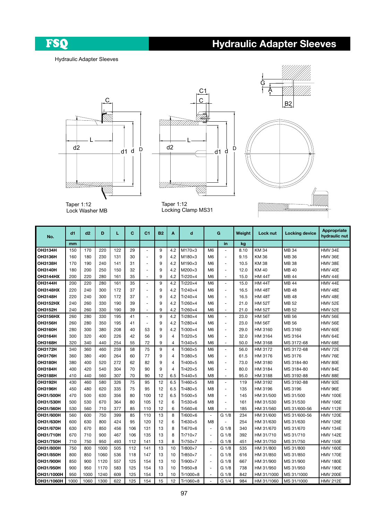FSQ

# Hydraulic Adapter Sleeves

#### Hydraulic Adapter Sleeves







Taper 1:12 Lock Washer MB

Taper 1:12 Locking Clamp MS31

| No.              | d1   | d2   | D    | L   | C   | C <sub>1</sub>           | <b>B2</b> | Α              | d               |                      | G                        | Weight | Lock nut      | <b>Locking device</b> | Appropriate<br>hydraulic nut |
|------------------|------|------|------|-----|-----|--------------------------|-----------|----------------|-----------------|----------------------|--------------------------|--------|---------------|-----------------------|------------------------------|
|                  | mm   |      |      |     |     |                          |           |                |                 |                      | in                       | kg     |               |                       |                              |
| OH3134H          | 150  | 170  | 220  | 122 | 29  | $\blacksquare$           | 9         | 4.2            | $M170\times3$   | M <sub>6</sub>       | $\overline{\phantom{a}}$ | 8.10   | <b>KM34</b>   | <b>MB34</b>           | HMV 34E                      |
| OH3136H          | 160  | 180  | 230  | 131 | 30  | ÷,                       | 9         | 4.2            | $M180\times3$   | M <sub>6</sub>       | ÷,                       | 9.15   | KM 36         | MB 36                 | HMV 36E                      |
| OH3138H          | 170  | 190  | 240  | 141 | 31  | ä,                       | 9         | 4.2            | $M190\times3$   | M6                   | ÷,                       | 10.5   | KM 38         | MB 38                 | HMV 38E                      |
| <b>OH3140H</b>   | 180  | 200  | 250  | 150 | 32  | $\blacksquare$           | 9         | 4.2            | M200×3          | M <sub>6</sub>       | $\sim$                   | 12.0   | <b>KM40</b>   | MB 40                 | HMV 40E                      |
| <b>OH3144HX</b>  | 200  | 220  | 280  | 161 | 35  | $\overline{a}$           | 9         | 4.2            | Tr220×4         | M <sub>6</sub>       | ÷.                       | 15.0   | <b>HM 44T</b> | MB 44                 | HMV 44E                      |
| OH3144H          | 200  | 220  | 280  | 161 | 35  | $\overline{\phantom{a}}$ | 9         | 4.2            | Tr220×4         | M <sub>6</sub>       | $\overline{\phantom{a}}$ | 15.0   | <b>HM 44T</b> | <b>MB44</b>           | HMV 44E                      |
| <b>OH3148HX</b>  | 220  | 240  | 300  | 172 | 37  | ÷,                       | 9         | 4.2            | Tr240×4         | M6                   | $\bar{a}$                | 16.5   | <b>HM 48T</b> | <b>MB48</b>           | HMV 48E                      |
| OH3148H          | 220  | 240  | 300  | 172 | 37  | ä,                       | 9         | 4.2            | $Tr240\times4$  | M <sub>6</sub>       | $\blacksquare$           | 16.5   | <b>HM 48T</b> | <b>MB48</b>           | HMV 48E                      |
| OH3152HX         | 240  | 260  | 330  | 190 | 39  | ÷.                       | 9         | 4.2            | Tr260×4         | M <sub>6</sub>       | $\blacksquare$           | 21.0   | <b>HM 52T</b> | MB 52                 | <b>HMV 52E</b>               |
| OH3152H          | 240  | 260  | 330  | 190 | 39  | $\overline{\phantom{a}}$ | 9         | 4.2            | Tr260×4         | M <sub>6</sub>       | $\blacksquare$           | 21.0   | <b>HM 52T</b> | MB 52                 | <b>HMV 52E</b>               |
| OH3156HX         | 260  | 280  | 330  | 195 | 41  | $\blacksquare$           | 9         | 4.2            | Tr280×4         | M <sub>6</sub>       | $\sim$                   | 23.0   | <b>HM 56T</b> | MB 56                 | HMV 56E                      |
| OH3156H          | 260  | 280  | 350  | 195 | 41  | ä,                       | 9         | 4.2            | Tr280×4         | M <sub>6</sub>       | ÷,                       | 23.0   | <b>HM 56T</b> | MB 56                 | <b>HMV 56E</b>               |
| <b>OH3160H</b>   | 280  | 300  | 380  | 208 | 40  | 53                       | 9         | 4.2            | Tr300×4         | M <sub>6</sub>       | ÷,                       | 29.0   | HM 3160       | MS 3160               | HMV 60E                      |
| <b>OH3164H</b>   | 300  | 320  | 400  | 226 | 42  | 56                       | 9         | $\overline{4}$ | Tr320×5         | M <sub>6</sub>       | $\bar{a}$                | 32.0   | HM 3164       | MS 3164               | HMV 64E                      |
| OH3168H          | 320  | 340  | 440  | 254 | 55  | 72                       | 9         | 4              | Tr340×5         | M <sub>6</sub>       | $\overline{\phantom{a}}$ | 50.0   | HM 3168       | MS 3172-68            | HMV 68E                      |
| OH3172H          | 340  | 360  | 460  | 259 | 58  | 75                       | 9         | $\overline{4}$ | Tr360×5         | M <sub>6</sub>       | $\overline{\phantom{a}}$ | 56.0   | HM 3172       | MS 3172-68            | HMV 72E                      |
| OH3176H          | 360  | 380  | 490  | 264 | 60  | 77                       | 9         | $\overline{4}$ | Tr380×5         | M <sub>6</sub>       | $\blacksquare$           | 61.5   | HM 3176       | MS 3176               | HMV 76E                      |
| <b>OH3180H</b>   | 380  | 400  | 520  | 272 | 62  | 82                       | 9         | $\overline{4}$ | Tr400×5         | M <sub>6</sub>       | $\overline{\phantom{a}}$ | 73.0   | HM 3180       | MS 3184-80            | HMV 80E                      |
| OH3184H          | 400  | 420  | 540  | 304 | 70  | 90                       | 9         | $\overline{4}$ | Tr420×5         | M6                   | $\overline{\phantom{a}}$ | 80.0   | HM 3184       | MS 3184-80            | HMV 84E                      |
| OH3188H          | 410  | 440  | 560  | 307 | 70  | 90                       | 12        | 6.5            | Tr440×5         | M <sub>8</sub>       | $\ddot{\phantom{1}}$     | 95.0   | HM 3188       | MS 3192-88            | HMV 88E                      |
| OH3192H          | 430  | 460  | 580  | 326 | 75  | 95                       | 12        | 6.5            | Tr460×5         | M <sub>8</sub>       | ä,                       | 119    | HM 3192       | MS 3192-88            | <b>HMV 92E</b>               |
| OH3196H          | 450  | 480  | 620  | 335 | 75  | 95                       | 12        | 6.5            | Tr480×5         | M <sub>8</sub>       | ÷,                       | 135    | HM 3196       | MS 3196               | <b>HMV 96E</b>               |
| <b>OH31/500H</b> | 470  | 500  | 630  | 356 | 80  | 100                      | 12        | 6.5            | Tr500×5         | M <sub>8</sub>       | $\sim$                   | 145    | HM 31/500     | MS 31/500             | <b>HMV 100E</b>              |
| OH31/530H        | 500  | 530  | 670  | 364 | 80  | 105                      | 12        | 6              | $Tr530\times 6$ | M <sub>8</sub>       | ÷,                       | 161    | HM 31/530     | MS 31/530             | <b>HMV 106E</b>              |
| OH31/560H        | 530  | 560  | 710  | 377 | 85  | 110                      | 12        | 6              | Tr560×6         | M <sub>8</sub>       | ä,                       | 185    | HM 31/560     | MS 31/600-56          | <b>HMV 112E</b>              |
| OH31/600H        | 560  | 600  | 750  | 399 | 85  | 110                      | 13        | 8              | Tr600×6         | $\blacksquare$       | G 1/8                    | 234    | HM 31/600     | MS 31/600-56          | <b>HMV 120E</b>              |
| <b>OH31/630H</b> | 600  | 630  | 800  | 424 | 95  | 120                      | 12        | 6              | Tr630×5         | M <sub>8</sub>       | ÷.                       | 254    | HM 31/630     | MS 31/630             | <b>HMV 126E</b>              |
| <b>OH31/670H</b> | 630  | 670  | 850  | 456 | 106 | 131                      | 13        | 8              | $Tr670\times 6$ | ÷,                   | G 1/8                    | 340    | HM 31/670     | MS 31/670             | <b>HMV 134E</b>              |
| OH31/710H        | 670  | 710  | 900  | 467 | 106 | 135                      | 13        | 8              | Tr710×7         | ÷                    | G 1/8                    | 392    | HM 31/710     | MS 31/710             | <b>HMV 142E</b>              |
| <b>OH31/750H</b> | 710  | 750  | 950  | 493 | 112 | 141                      | 13        | 8              | Tr750×7         | ä,                   | G 1/8                    | 451    | HM 31/750     | MS 31/750             | <b>HMV 150E</b>              |
| <b>OH31/800H</b> | 750  | 800  | 1000 | 505 | 112 | 141                      | 13        | 10             | Tr800×7         | ٠                    | G 1/8                    | 535    | HM 31/800     | MS 31/800             | <b>HMV 160E</b>              |
| OH31/850H        | 800  | 850  | 1060 | 536 | 118 | 147                      | 13        | 10             | Tr850×7         | ÷,                   | G 1/8                    | 616    | HM 31/850     | MS 31/850             | <b>HMV 170E</b>              |
| OH31/900H        | 850  | 900  | 1120 | 557 | 125 | 154                      | 13        | 10             | Tr900×7         | ÷                    | G 1/8                    | 667    | HM 31/900     | MS 31/900             | <b>HMV 180E</b>              |
| <b>OH31/950H</b> | 900  | 950  | 1170 | 583 | 125 | 154                      | 13        | 10             | Tr950×8         | ÷,                   | G 1/8                    | 738    | HM 31/950     | MS 31/950             | <b>HMV 190E</b>              |
| OH31/1000H       | 950  | 1000 | 1240 | 609 | 125 | 154                      | 13        | 10             | Tr1000×8        | ٠                    | G 1/8                    | 842    | HM 31/1000    | MS 31/1000            | <b>HMV 200E</b>              |
| OH31/1060H       | 1000 | 1060 | 1300 | 622 | 125 | 154                      | 15        | 12             | Tr1060×8        | $\ddot{\phantom{1}}$ | G 1/4                    | 984    | HM 31/1060    | MS 31/1000            | <b>HMV 212E</b>              |